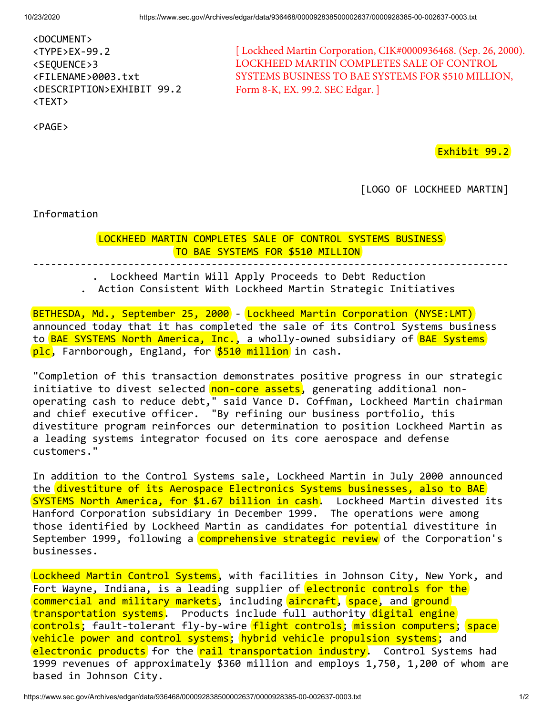<PAGE>

| <document></document>                   |  |
|-----------------------------------------|--|
| $\langle$ TYPE>EX-99.2                  |  |
| <sequence>3</sequence>                  |  |
| <filename>0003.txt</filename>           |  |
| <description>EXHIBIT 99.2</description> |  |
| <text></text>                           |  |

[ Lockheed Martin Corporation, CIK#0000936468. (Sep. 26, 2000). LOCKHEED MARTIN COMPLETES SALE OF CONTROL SYSTEMS BUSINESS TO BAE SYSTEMS FOR \$510 MILLION, Form 8-K, EX. 99.2. SEC Edgar. ]

Exhibit 99.2

[LOGO OF LOCKHEED MARTIN]

Information

LOCKHEED MARTIN COMPLETES SALE OF CONTROL SYSTEMS BUSINESS TO BAE SYSTEMS FOR \$510 MILLION

--------------------------------------------------------------------------------

. Lockheed Martin Will Apply Proceeds to Debt Reduction . Action Consistent With Lockheed Martin Strategic Initiatives

BETHESDA, Md., September 25, 2000 - Lockheed Martin Corporation (NYSE:LMT) announced today that it has completed the sale of its Control Systems business to BAE SYSTEMS North America, Inc., a wholly-owned subsidiary of BAE Systems plc, Farnborough, England, for \$510 million in cash.

"Completion of this transaction demonstrates positive progress in our strategic initiative to divest selected non-core assets, generating additional nonoperating cash to reduce debt," said Vance D. Coffman, Lockheed Martin chairman and chief executive officer. "By refining our business portfolio, this divestiture program reinforces our determination to position Lockheed Martin as a leading systems integrator focused on its core aerospace and defense customers."

In addition to the Control Systems sale, Lockheed Martin in July 2000 announced the divestiture of its Aerospace Electronics Systems businesses, also to BAE SYSTEMS North America, for \$1.67 billion in cash. Lockheed Martin divested its Hanford Corporation subsidiary in December 1999. The operations were among those identified by Lockheed Martin as candidates for potential divestiture in September 1999, following a comprehensive strategic review of the Corporation's businesses.

Lockheed Martin Control Systems, with facilities in Johnson City, New York, and Fort Wayne, Indiana, is a leading supplier of electronic controls for the commercial and military markets, including aircraft, space, and ground transportation systems. Products include full authority digital engine controls; fault-tolerant fly-by-wire flight controls; mission computers; space vehicle power and control systems; hybrid vehicle propulsion systems; and electronic products for the rail transportation industry. Control Systems had 1999 revenues of approximately \$360 million and employs 1,750, 1,200 of whom are based in Johnson City.